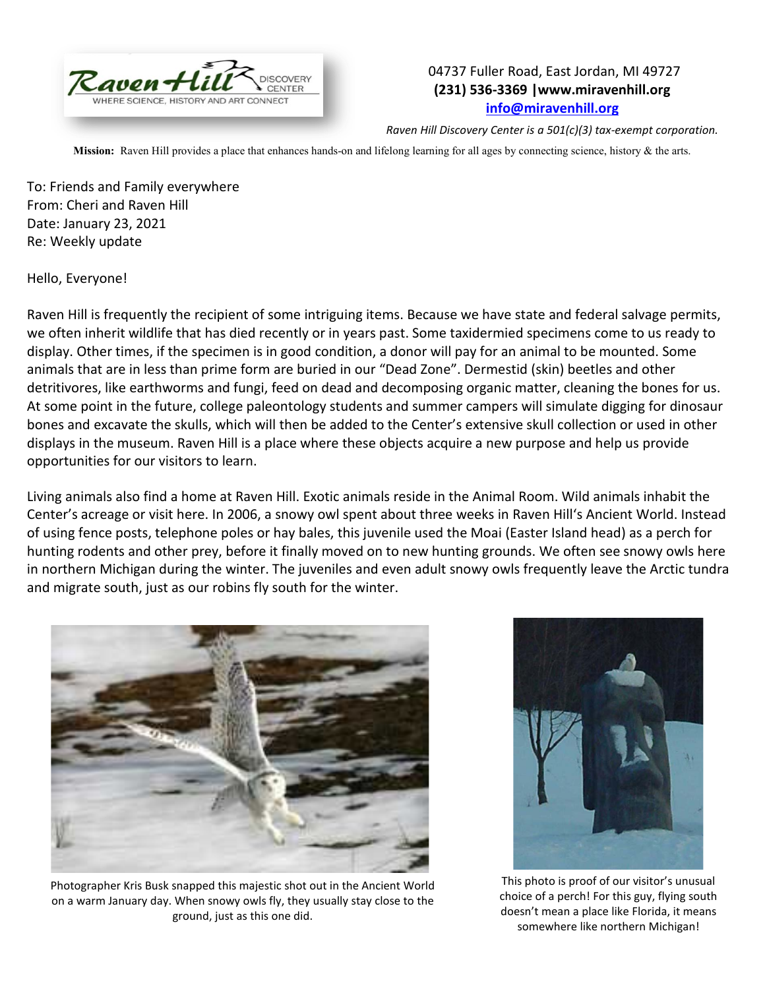

## 04737 Fuller Road, East Jordan, MI 49727 **(231) 536-3369 |www.miravenhill.org [info@miravenhill.org](mailto:info@miravenhill.org)**

*Raven Hill Discovery Center is a 501(c)(3) tax-exempt corporation.*

**Mission:** Raven Hill provides a place that enhances hands-on and lifelong learning for all ages by connecting science, history & the arts.

To: Friends and Family everywhere From: Cheri and Raven Hill Date: January 23, 2021 Re: Weekly update

Hello, Everyone!

Raven Hill is frequently the recipient of some intriguing items. Because we have state and federal salvage permits, we often inherit wildlife that has died recently or in years past. Some taxidermied specimens come to us ready to display. Other times, if the specimen is in good condition, a donor will pay for an animal to be mounted. Some animals that are in less than prime form are buried in our "Dead Zone". Dermestid (skin) beetles and other detritivores, like earthworms and fungi, feed on dead and decomposing organic matter, cleaning the bones for us. At some point in the future, college paleontology students and summer campers will simulate digging for dinosaur bones and excavate the skulls, which will then be added to the Center's extensive skull collection or used in other displays in the museum. Raven Hill is a place where these objects acquire a new purpose and help us provide opportunities for our visitors to learn.

Living animals also find a home at Raven Hill. Exotic animals reside in the Animal Room. Wild animals inhabit the Center's acreage or visit here. In 2006, a snowy owl spent about three weeks in Raven Hill's Ancient World. Instead of using fence posts, telephone poles or hay bales, this juvenile used the Moai (Easter Island head) as a perch for hunting rodents and other prey, before it finally moved on to new hunting grounds. We often see snowy owls here in northern Michigan during the winter. The juveniles and even adult snowy owls frequently leave the Arctic tundra and migrate south, just as our robins fly south for the winter.



Photographer Kris Busk snapped this majestic shot out in the Ancient World on a warm January day. When snowy owls fly, they usually stay close to the ground, just as this one did.



This photo is proof of our visitor's unusual choice of a perch! For this guy, flying south doesn't mean a place like Florida, it means somewhere like northern Michigan!